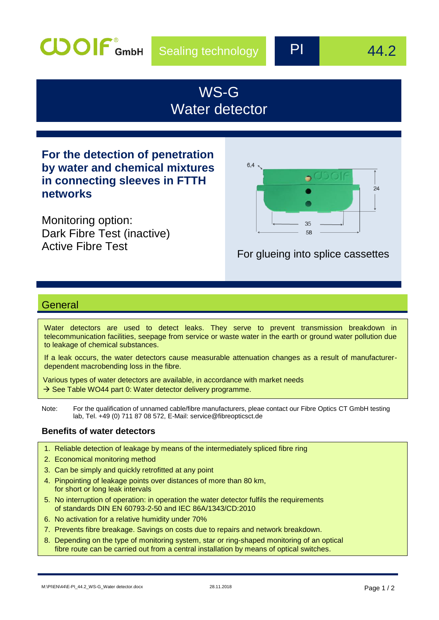

# WS-G Water detector

**For the detection of penetration by water and chemical mixtures in connecting sleeves in FTTH networks**

Monitoring option: Dark Fibre Test (inactive)



# Active Fibre Test For glueing into splice cassettes

# **General**

Water detectors are used to detect leaks. They serve to prevent transmission breakdown in telecommunication facilities, seepage from service or waste water in the earth or ground water pollution due to leakage of chemical substances.

If a leak occurs, the water detectors cause measurable attenuation changes as a result of manufacturerdependent macrobending loss in the fibre.

Various types of water detectors are available, in accordance with market needs  $\rightarrow$  See Table WO44 part 0: Water detector delivery programme.

Note: For the qualification of unnamed cable/fibre manufacturers, pleae contact our Fibre Optics CT GmbH testing lab, Tel. +49 (0) 711 87 08 572, E-Mail: [service@fibreopticsct.de](mailto:service@fibreopticsct.de)

### **Benefits of water detectors**

- 1. Reliable detection of leakage by means of the intermediately spliced fibre ring
- 2. Economical monitoring method
- 3. Can be simply and quickly retrofitted at any point
- 4. Pinpointing of leakage points over distances of more than 80 km, for short or long leak intervals
- 5. No interruption of operation: in operation the water detector fulfils the requirements of standards DIN EN 60793-2-50 and IEC 86A/1343/CD:2010
- 6. No activation for a relative humidity under 70%
- 7. Prevents fibre breakage. Savings on costs due to repairs and network breakdown.
- 8. Depending on the type of monitoring system, star or ring-shaped monitoring of an optical fibre route can be carried out from a central installation by means of optical switches.